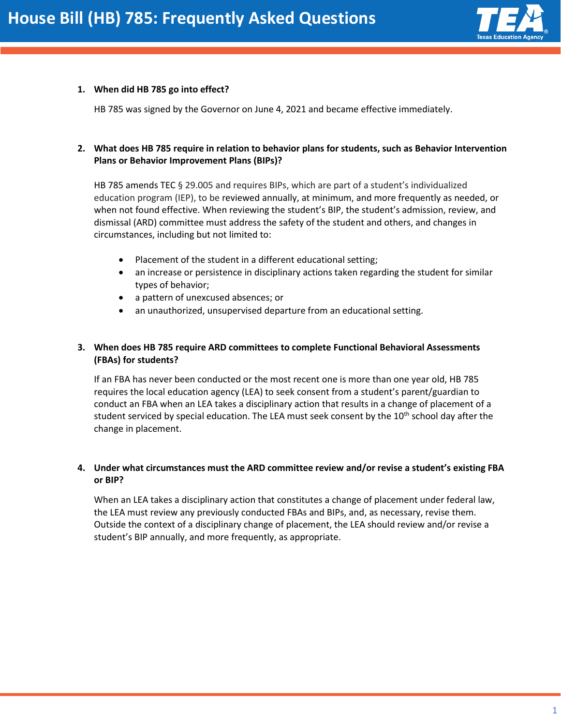

#### **1. When did HB 785 go into effect?**

HB 785 was signed by the Governor on June 4, 2021 and became effective immediately.

### **2. What does HB 785 require in relation to behavior plans for students, such as Behavior Intervention Plans or Behavior Improvement Plans (BIPs)?**

HB 785 amends TEC § 29.005 and requires BIPs, which are part of a student's individualized education program (IEP), to be reviewed annually, at minimum, and more frequently as needed, or when not found effective. When reviewing the student's BIP, the student's admission, review, and dismissal (ARD) committee must address the safety of the student and others, and changes in circumstances, including but not limited to:

- Placement of the student in a different educational setting;
- an increase or persistence in disciplinary actions taken regarding the student for similar types of behavior;
- a pattern of unexcused absences; or
- an unauthorized, unsupervised departure from an educational setting.

## **3. When does HB 785 require ARD committees to complete Functional Behavioral Assessments (FBAs) for students?**

If an FBA has never been conducted or the most recent one is more than one year old, HB 785 requires the local education agency (LEA) to seek consent from a student's parent/guardian to conduct an FBA when an LEA takes a disciplinary action that results in a change of placement of a student serviced by special education. The LEA must seek consent by the 10<sup>th</sup> school day after the change in placement.

#### **4. Under what circumstances must the ARD committee review and/or revise a student's existing FBA or BIP?**

When an LEA takes a disciplinary action that constitutes a change of placement under federal law, the LEA must review any previously conducted FBAs and BIPs, and, as necessary, revise them. Outside the context of a disciplinary change of placement, the LEA should review and/or revise a student's BIP annually, and more frequently, as appropriate.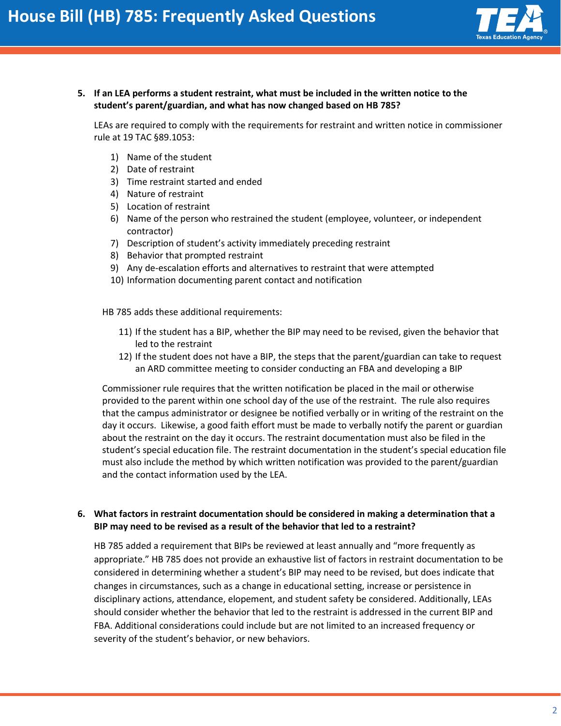

**5. If an LEA performs a student restraint, what must be included in the written notice to the student's parent/guardian, and what has now changed based on HB 785?**

LEAs are required to comply with the requirements for restraint and written notice in commissioner rule at 19 TAC §89.1053:

- 1) Name of the student
- 2) Date of restraint
- 3) Time restraint started and ended
- 4) Nature of restraint
- 5) Location of restraint
- 6) Name of the person who restrained the student (employee, volunteer, or independent contractor)
- 7) Description of student's activity immediately preceding restraint
- 8) Behavior that prompted restraint
- 9) Any de-escalation efforts and alternatives to restraint that were attempted
- 10) Information documenting parent contact and notification

HB 785 adds these additional requirements:

- 11) If the student has a BIP, whether the BIP may need to be revised, given the behavior that led to the restraint
- 12) If the student does not have a BIP, the steps that the parent/guardian can take to request an ARD committee meeting to consider conducting an FBA and developing a BIP

Commissioner rule requires that the written notification be placed in the mail or otherwise provided to the parent within one school day of the use of the restraint. The rule also requires that the campus administrator or designee be notified verbally or in writing of the restraint on the day it occurs. Likewise, a good faith effort must be made to verbally notify the parent or guardian about the restraint on the day it occurs. The restraint documentation must also be filed in the student's special education file. The restraint documentation in the student's special education file must also include the method by which written notification was provided to the parent/guardian and the contact information used by the LEA.

#### **6. What factors in restraint documentation should be considered in making a determination that a BIP may need to be revised as a result of the behavior that led to a restraint?**

HB 785 added a requirement that BIPs be reviewed at least annually and "more frequently as appropriate." HB 785 does not provide an exhaustive list of factors in restraint documentation to be considered in determining whether a student's BIP may need to be revised, but does indicate that changes in circumstances, such as a change in educational setting, increase or persistence in disciplinary actions, attendance, elopement, and student safety be considered. Additionally, LEAs should consider whether the behavior that led to the restraint is addressed in the current BIP and FBA. Additional considerations could include but are not limited to an increased frequency or severity of the student's behavior, or new behaviors.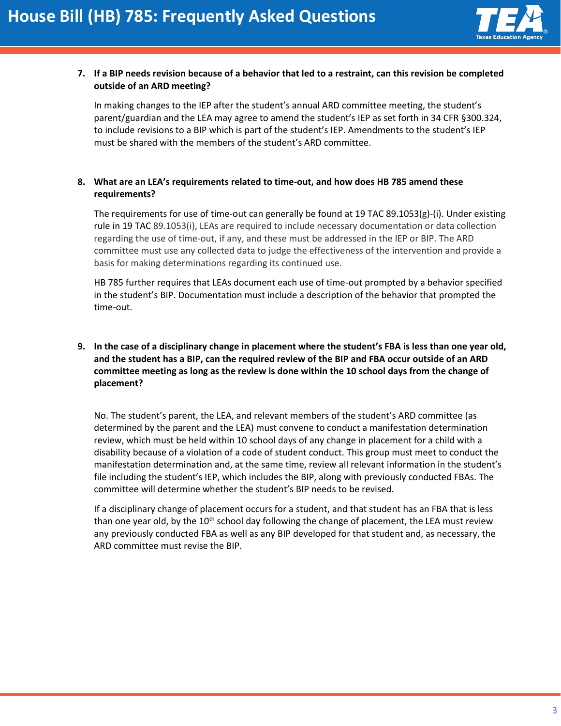

## **7. If a BIP needs revision because of a behavior that led to a restraint, can this revision be completed outside of an ARD meeting?**

In making changes to the IEP after the student's annual ARD committee meeting, the student's parent/guardian and the LEA may agree to amend the student's IEP as set forth in 34 CFR §300.324, to include revisions to a BIP which is part of the student's IEP. Amendments to the student's IEP must be shared with the members of the student's ARD committee.

## **8. What are an LEA's requirements related to time-out, and how does HB 785 amend these requirements?**

The requirements for use of time-out can generally be found at 19 TAC 89.1053(g)-(i). Under existing rule in 19 TAC 89.1053(i), LEAs are required to include necessary documentation or data collection regarding the use of time-out, if any, and these must be addressed in the IEP or BIP. The ARD committee must use any collected data to judge the effectiveness of the intervention and provide a basis for making determinations regarding its continued use.

HB 785 further requires that LEAs document each use of time-out prompted by a behavior specified in the student's BIP. Documentation must include a description of the behavior that prompted the time-out.

# **9. In the case of a disciplinary change in placement where the student's FBA is less than one year old, and the student has a BIP, can the required review of the BIP and FBA occur outside of an ARD committee meeting as long as the review is done within the 10 school days from the change of placement?**

No. The student's parent, the LEA, and relevant members of the student's ARD committee (as determined by the parent and the LEA) must convene to conduct a manifestation determination review, which must be held within 10 school days of any change in placement for a child with a disability because of a violation of a code of student conduct. This group must meet to conduct the manifestation determination and, at the same time, review all relevant information in the student's file including the student's IEP, which includes the BIP, along with previously conducted FBAs. The committee will determine whether the student's BIP needs to be revised.

If a disciplinary change of placement occurs for a student, and that student has an FBA that is less than one year old, by the  $10<sup>th</sup>$  school day following the change of placement, the LEA must review any previously conducted FBA as well as any BIP developed for that student and, as necessary, the ARD committee must revise the BIP.